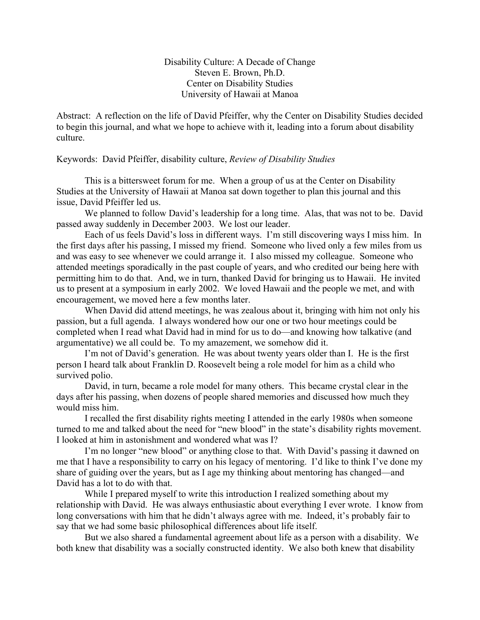Disability Culture: A Decade of Change Steven E. Brown, Ph.D. Center on Disability Studies University of Hawaii at Manoa

Abstract: A reflection on the life of David Pfeiffer, why the Center on Disability Studies decided to begin this journal, and what we hope to achieve with it, leading into a forum about disability culture.

Keywords: David Pfeiffer, disability culture, *Review of Disability Studies*

This is a bittersweet forum for me. When a group of us at the Center on Disability Studies at the University of Hawaii at Manoa sat down together to plan this journal and this issue, David Pfeiffer led us.

We planned to follow David's leadership for a long time. Alas, that was not to be. David passed away suddenly in December 2003. We lost our leader.

Each of us feels David's loss in different ways. I'm still discovering ways I miss him. In the first days after his passing, I missed my friend. Someone who lived only a few miles from us and was easy to see whenever we could arrange it. I also missed my colleague. Someone who attended meetings sporadically in the past couple of years, and who credited our being here with permitting him to do that. And, we in turn, thanked David for bringing us to Hawaii. He invited us to present at a symposium in early 2002. We loved Hawaii and the people we met, and with encouragement, we moved here a few months later.

When David did attend meetings, he was zealous about it, bringing with him not only his passion, but a full agenda. I always wondered how our one or two hour meetings could be completed when I read what David had in mind for us to do—and knowing how talkative (and argumentative) we all could be. To my amazement, we somehow did it.

I'm not of David's generation. He was about twenty years older than I. He is the first person I heard talk about Franklin D. Roosevelt being a role model for him as a child who survived polio.

David, in turn, became a role model for many others. This became crystal clear in the days after his passing, when dozens of people shared memories and discussed how much they would miss him.

I recalled the first disability rights meeting I attended in the early 1980s when someone turned to me and talked about the need for "new blood" in the state's disability rights movement. I looked at him in astonishment and wondered what was I?

I'm no longer "new blood" or anything close to that. With David's passing it dawned on me that I have a responsibility to carry on his legacy of mentoring. I'd like to think I've done my share of guiding over the years, but as I age my thinking about mentoring has changed—and David has a lot to do with that.

While I prepared myself to write this introduction I realized something about my relationship with David. He was always enthusiastic about everything I ever wrote. I know from long conversations with him that he didn't always agree with me. Indeed, it's probably fair to say that we had some basic philosophical differences about life itself.

But we also shared a fundamental agreement about life as a person with a disability. We both knew that disability was a socially constructed identity. We also both knew that disability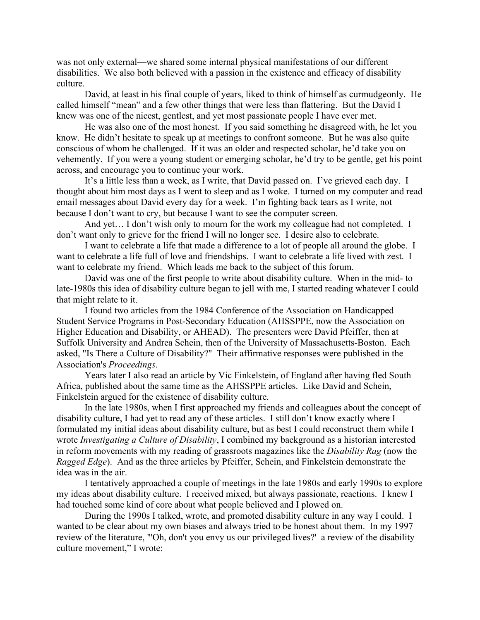was not only external—we shared some internal physical manifestations of our different disabilities. We also both believed with a passion in the existence and efficacy of disability culture.

David, at least in his final couple of years, liked to think of himself as curmudgeonly. He called himself "mean" and a few other things that were less than flattering. But the David I knew was one of the nicest, gentlest, and yet most passionate people I have ever met.

He was also one of the most honest. If you said something he disagreed with, he let you know. He didn't hesitate to speak up at meetings to confront someone. But he was also quite conscious of whom he challenged. If it was an older and respected scholar, he'd take you on vehemently. If you were a young student or emerging scholar, he'd try to be gentle, get his point across, and encourage you to continue your work.

It's a little less than a week, as I write, that David passed on. I've grieved each day. I thought about him most days as I went to sleep and as I woke. I turned on my computer and read email messages about David every day for a week. I'm fighting back tears as I write, not because I don't want to cry, but because I want to see the computer screen.

And yet... I don't wish only to mourn for the work my colleague had not completed. I don't want only to grieve for the friend I will no longer see. I desire also to celebrate.

I want to celebrate a life that made a difference to a lot of people all around the globe. I want to celebrate a life full of love and friendships. I want to celebrate a life lived with zest. I want to celebrate my friend. Which leads me back to the subject of this forum.

David was one of the first people to write about disability culture. When in the mid- to late-1980s this idea of disability culture began to jell with me, I started reading whatever I could that might relate to it.

I found two articles from the 1984 Conference of the Association on Handicapped Student Service Programs in Post-Secondary Education (AHSSPPE, now the Association on Higher Education and Disability, or AHEAD). The presenters were David Pfeiffer, then at Suffolk University and Andrea Schein, then of the University of Massachusetts-Boston. Each asked, "Is There a Culture of Disability?" Their affirmative responses were published in the Association's *Proceedings*.

Years later I also read an article by Vic Finkelstein, of England after having fled South Africa, published about the same time as the AHSSPPE articles. Like David and Schein, Finkelstein argued for the existence of disability culture.

In the late 1980s, when I first approached my friends and colleagues about the concept of disability culture, I had yet to read any of these articles. I still don't know exactly where I formulated my initial ideas about disability culture, but as best I could reconstruct them while I wrote *Investigating a Culture of Disability*, I combined my background as a historian interested in reform movements with my reading of grassroots magazines like the *Disability Rag* (now the *Ragged Edge*). And as the three articles by Pfeiffer, Schein, and Finkelstein demonstrate the idea was in the air.

I tentatively approached a couple of meetings in the late 1980s and early 1990s to explore my ideas about disability culture. I received mixed, but always passionate, reactions. I knew I had touched some kind of core about what people believed and I plowed on.

During the 1990s I talked, wrote, and promoted disability culture in any way I could. I wanted to be clear about my own biases and always tried to be honest about them. In my 1997 review of the literature, "'Oh, don't you envy us our privileged lives?' a review of the disability culture movement," I wrote: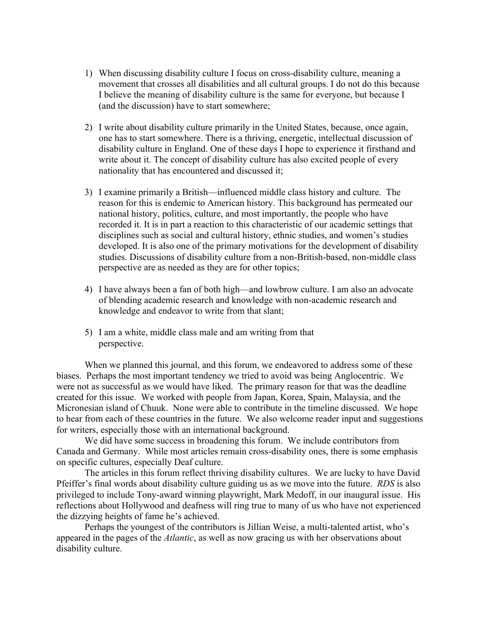- 1) When discussing disability culture I focus on cross-disability culture, meaning a movement that crosses all disabilities and all cultural groups. I do not do this because I believe the meaning of disability culture is the same for everyone, but because I (and the discussion) have to start somewhere;
- 2) I write about disability culture primarily in the United States, because, once again, one has to start somewhere. There is a thriving, energetic, intellectual discussion of disability culture in England. One of these days I hope to experience it firsthand and write about it. The concept of disability culture has also excited people of every nationality that has encountered and discussed it;
- 3) I examine primarily a British—influenced middle class history and culture. The reason for this is endemic to American history. This background has permeated our national history, politics, culture, and most importantly, the people who have recorded it. It is in part a reaction to this characteristic of our academic settings that disciplines such as social and cultural history, ethnic studies, and women's studies developed. It is also one of the primary motivations for the development of disability studies. Discussions of disability culture from a non-British-based, non-middle class perspective are as needed as they are for other topics;
- 4) I have always been a fan of both high—and lowbrow culture. I am also an advocate of blending academic research and knowledge with non-academic research and knowledge and endeavor to write from that slant;
- 5) I am a white, middle class male and am writing from that perspective.

When we planned this journal, and this forum, we endeavored to address some of these biases. Perhaps the most important tendency we tried to avoid was being Anglocentric. We were not as successful as we would have liked. The primary reason for that was the deadline created for this issue. We worked with people from Japan, Korea, Spain, Malaysia, and the Micronesian island of Chuuk. None were able to contribute in the timeline discussed. We hope to hear from each of these countries in the future. We also welcome reader input and suggestions for writers, especially those with an international background.

We did have some success in broadening this forum. We include contributors from Canada and Germany. While most articles remain cross-disability ones, there is some emphasis on specific cultures, especially Deaf culture.

The articles in this forum reflect thriving disability cultures. We are lucky to have David Pfeiffer's final words about disability culture guiding us as we move into the future. *RDS* is also privileged to include Tony-award winning playwright, Mark Medoff, in our inaugural issue. His reflections about Hollywood and deafness will ring true to many of us who have not experienced the dizzying heights of fame he's achieved.

Perhaps the youngest of the contributors is Jillian Weise, a multi-talented artist, who's appeared in the pages of the *Atlantic*, as well as now gracing us with her observations about disability culture.